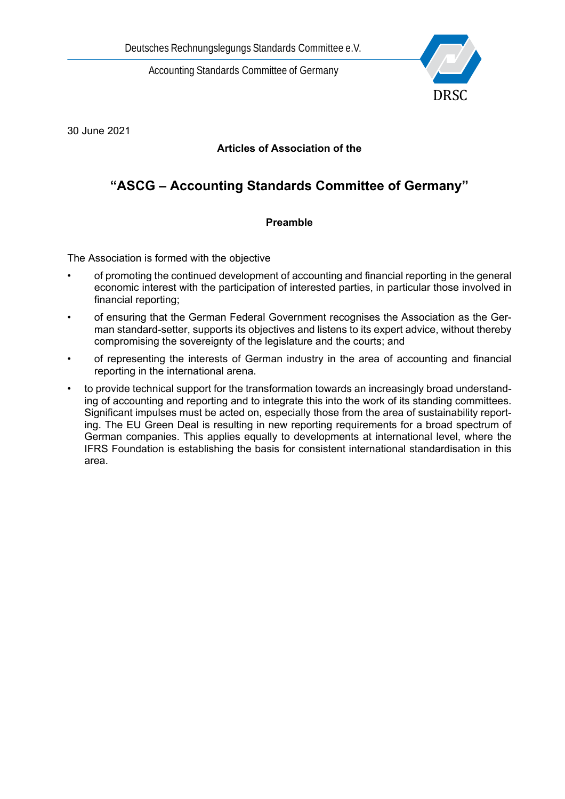

30 June 2021

# **Articles of Association of the**

# **"ASCG – Accounting Standards Committee of Germany"**

# **Preamble**

The Association is formed with the objective

- of promoting the continued development of accounting and financial reporting in the general economic interest with the participation of interested parties, in particular those involved in financial reporting;
- of ensuring that the German Federal Government recognises the Association as the German standard-setter, supports its objectives and listens to its expert advice, without thereby compromising the sovereignty of the legislature and the courts; and
- of representing the interests of German industry in the area of accounting and financial reporting in the international arena.
- to provide technical support for the transformation towards an increasingly broad understanding of accounting and reporting and to integrate this into the work of its standing committees. Significant impulses must be acted on, especially those from the area of sustainability reporting. The EU Green Deal is resulting in new reporting requirements for a broad spectrum of German companies. This applies equally to developments at international level, where the IFRS Foundation is establishing the basis for consistent international standardisation in this area.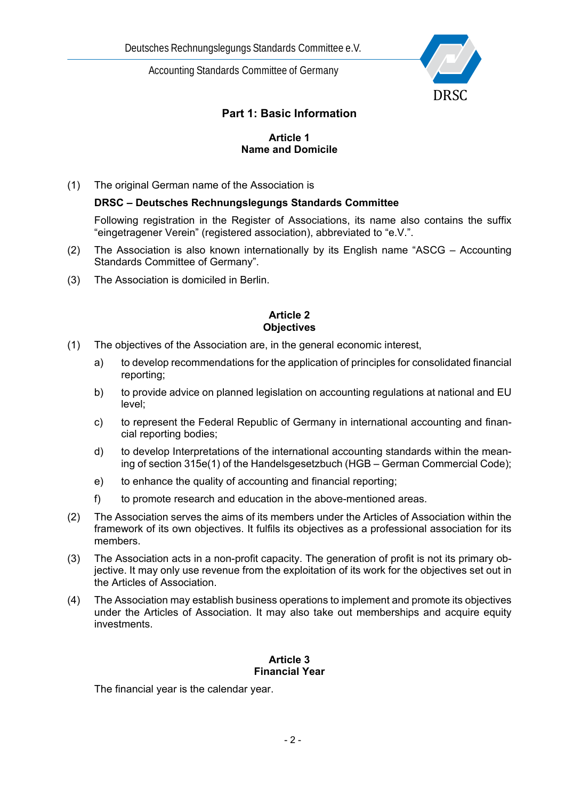

# **Part 1: Basic Information**

#### **Article 1 Name and Domicile**

(1) The original German name of the Association is

#### **DRSC – Deutsches Rechnungslegungs Standards Committee**

Following registration in the Register of Associations, its name also contains the suffix "eingetragener Verein" (registered association), abbreviated to "e.V.".

- (2) The Association is also known internationally by its English name "ASCG Accounting Standards Committee of Germany".
- (3) The Association is domiciled in Berlin.

### **Article 2 Objectives**

- (1) The objectives of the Association are, in the general economic interest,
	- a) to develop recommendations for the application of principles for consolidated financial reporting;
	- b) to provide advice on planned legislation on accounting regulations at national and EU level;
	- c) to represent the Federal Republic of Germany in international accounting and financial reporting bodies;
	- d) to develop Interpretations of the international accounting standards within the meaning of section 315e(1) of the Handelsgesetzbuch (HGB – German Commercial Code);
	- e) to enhance the quality of accounting and financial reporting;
	- f) to promote research and education in the above-mentioned areas.
- (2) The Association serves the aims of its members under the Articles of Association within the framework of its own objectives. It fulfils its objectives as a professional association for its members.
- (3) The Association acts in a non-profit capacity. The generation of profit is not its primary objective. It may only use revenue from the exploitation of its work for the objectives set out in the Articles of Association.
- (4) The Association may establish business operations to implement and promote its objectives under the Articles of Association. It may also take out memberships and acquire equity investments.

#### **Article 3 Financial Year**

The financial year is the calendar year.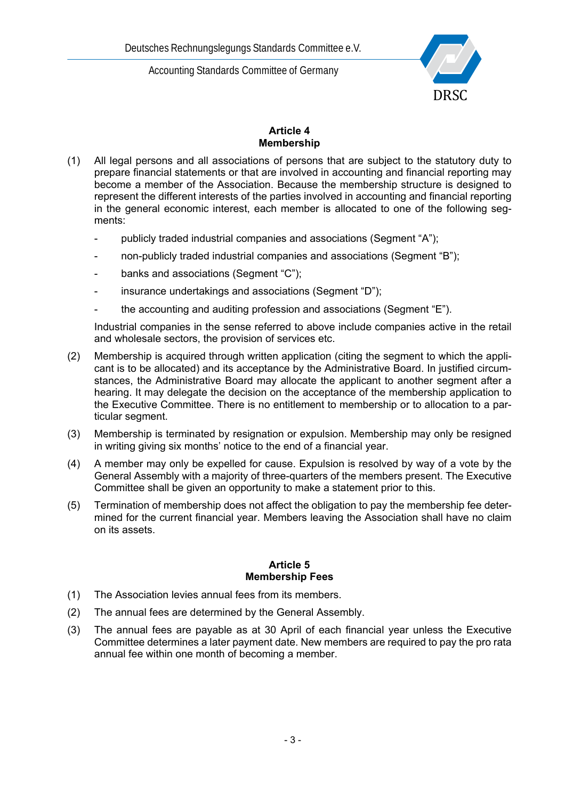

#### **Article 4 Membership**

- (1) All legal persons and all associations of persons that are subject to the statutory duty to prepare financial statements or that are involved in accounting and financial reporting may become a member of the Association. Because the membership structure is designed to represent the different interests of the parties involved in accounting and financial reporting in the general economic interest, each member is allocated to one of the following segments:
	- publicly traded industrial companies and associations (Segment "A");
	- non-publicly traded industrial companies and associations (Segment "B");
	- banks and associations (Segment "C");
	- insurance undertakings and associations (Segment "D");
	- the accounting and auditing profession and associations (Segment "E").

Industrial companies in the sense referred to above include companies active in the retail and wholesale sectors, the provision of services etc.

- (2) Membership is acquired through written application (citing the segment to which the applicant is to be allocated) and its acceptance by the Administrative Board. In justified circumstances, the Administrative Board may allocate the applicant to another segment after a hearing. It may delegate the decision on the acceptance of the membership application to the Executive Committee. There is no entitlement to membership or to allocation to a particular segment.
- (3) Membership is terminated by resignation or expulsion. Membership may only be resigned in writing giving six months' notice to the end of a financial year.
- (4) A member may only be expelled for cause. Expulsion is resolved by way of a vote by the General Assembly with a majority of three-quarters of the members present. The Executive Committee shall be given an opportunity to make a statement prior to this.
- (5) Termination of membership does not affect the obligation to pay the membership fee determined for the current financial year. Members leaving the Association shall have no claim on its assets.

#### **Article 5 Membership Fees**

- (1) The Association levies annual fees from its members.
- (2) The annual fees are determined by the General Assembly.
- (3) The annual fees are payable as at 30 April of each financial year unless the Executive Committee determines a later payment date. New members are required to pay the pro rata annual fee within one month of becoming a member.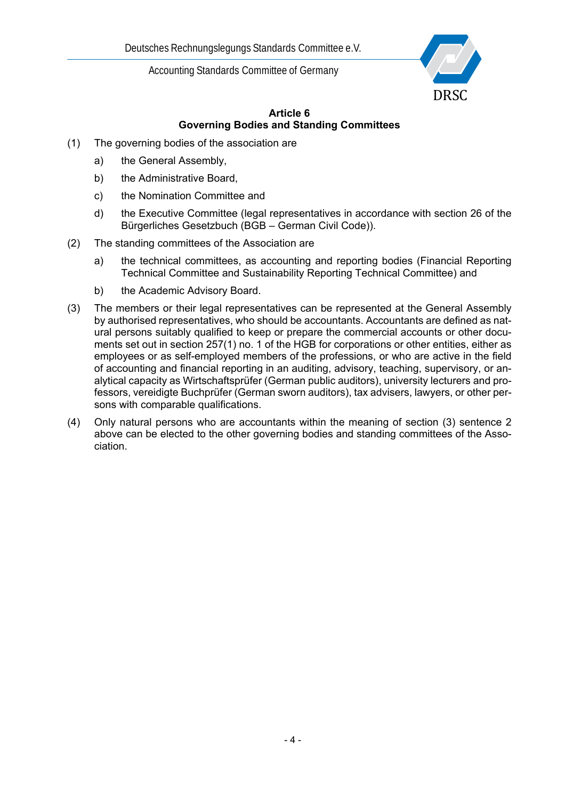

# **Article 6 Governing Bodies and Standing Committees**

- (1) The governing bodies of the association are
	- a) the General Assembly,
	- b) the Administrative Board,
	- c) the Nomination Committee and
	- d) the Executive Committee (legal representatives in accordance with section 26 of the Bürgerliches Gesetzbuch (BGB – German Civil Code)).
- (2) The standing committees of the Association are
	- a) the technical committees, as accounting and reporting bodies (Financial Reporting Technical Committee and Sustainability Reporting Technical Committee) and
	- b) the Academic Advisory Board.
- (3) The members or their legal representatives can be represented at the General Assembly by authorised representatives, who should be accountants. Accountants are defined as natural persons suitably qualified to keep or prepare the commercial accounts or other documents set out in section 257(1) no. 1 of the HGB for corporations or other entities, either as employees or as self-employed members of the professions, or who are active in the field of accounting and financial reporting in an auditing, advisory, teaching, supervisory, or analytical capacity as Wirtschaftsprüfer (German public auditors), university lecturers and professors, vereidigte Buchprüfer (German sworn auditors), tax advisers, lawyers, or other persons with comparable qualifications.
- (4) Only natural persons who are accountants within the meaning of section (3) sentence 2 above can be elected to the other governing bodies and standing committees of the Association.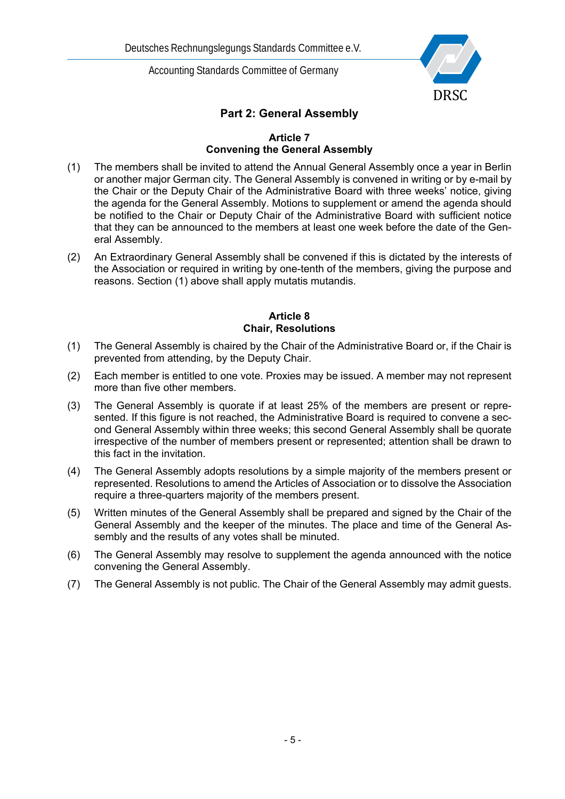

# **Part 2: General Assembly**

#### **Article 7 Convening the General Assembly**

- (1) The members shall be invited to attend the Annual General Assembly once a year in Berlin or another major German city. The General Assembly is convened in writing or by e-mail by the Chair or the Deputy Chair of the Administrative Board with three weeks' notice, giving the agenda for the General Assembly. Motions to supplement or amend the agenda should be notified to the Chair or Deputy Chair of the Administrative Board with sufficient notice that they can be announced to the members at least one week before the date of the General Assembly.
- (2) An Extraordinary General Assembly shall be convened if this is dictated by the interests of the Association or required in writing by one-tenth of the members, giving the purpose and reasons. Section (1) above shall apply mutatis mutandis.

#### **Article 8 Chair, Resolutions**

- (1) The General Assembly is chaired by the Chair of the Administrative Board or, if the Chair is prevented from attending, by the Deputy Chair.
- (2) Each member is entitled to one vote. Proxies may be issued. A member may not represent more than five other members.
- (3) The General Assembly is quorate if at least 25% of the members are present or represented. If this figure is not reached, the Administrative Board is required to convene a second General Assembly within three weeks; this second General Assembly shall be quorate irrespective of the number of members present or represented; attention shall be drawn to this fact in the invitation.
- (4) The General Assembly adopts resolutions by a simple majority of the members present or represented. Resolutions to amend the Articles of Association or to dissolve the Association require a three-quarters majority of the members present.
- (5) Written minutes of the General Assembly shall be prepared and signed by the Chair of the General Assembly and the keeper of the minutes. The place and time of the General Assembly and the results of any votes shall be minuted.
- (6) The General Assembly may resolve to supplement the agenda announced with the notice convening the General Assembly.
- (7) The General Assembly is not public. The Chair of the General Assembly may admit guests.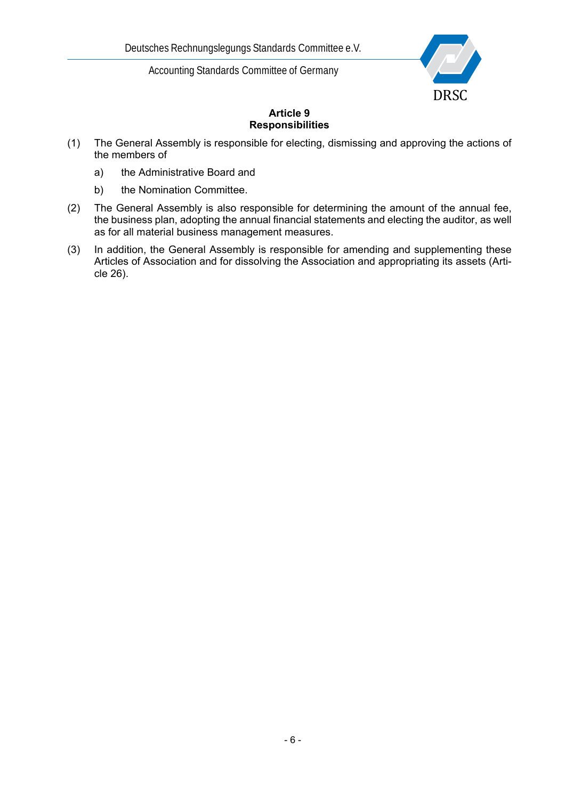

# **Article 9 Responsibilities**

- (1) The General Assembly is responsible for electing, dismissing and approving the actions of the members of
	- a) the Administrative Board and
	- b) the Nomination Committee.
- (2) The General Assembly is also responsible for determining the amount of the annual fee, the business plan, adopting the annual financial statements and electing the auditor, as well as for all material business management measures.
- (3) In addition, the General Assembly is responsible for amending and supplementing these Articles of Association and for dissolving the Association and appropriating its assets (Article 26).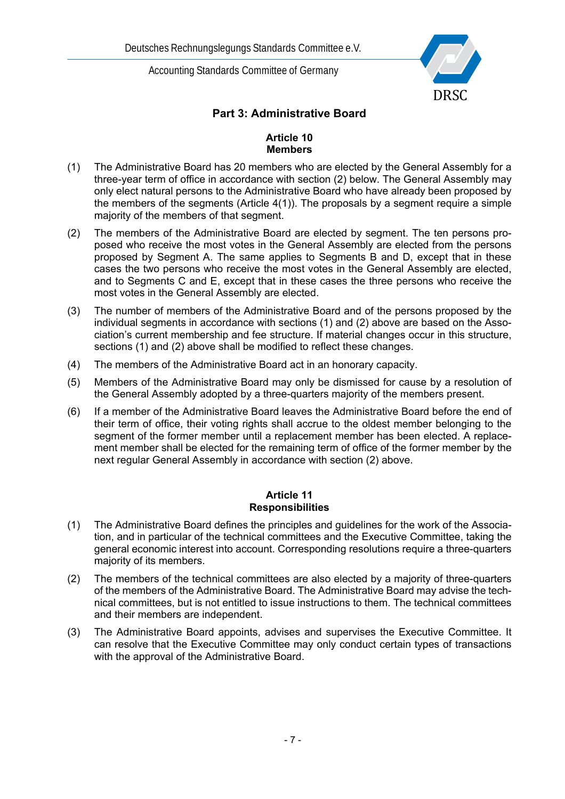

# **Part 3: Administrative Board**

### **Article 10 Members**

- (1) The Administrative Board has 20 members who are elected by the General Assembly for a three-year term of office in accordance with section (2) below. The General Assembly may only elect natural persons to the Administrative Board who have already been proposed by the members of the segments (Article 4(1)). The proposals by a segment require a simple majority of the members of that segment.
- (2) The members of the Administrative Board are elected by segment. The ten persons proposed who receive the most votes in the General Assembly are elected from the persons proposed by Segment A. The same applies to Segments B and D, except that in these cases the two persons who receive the most votes in the General Assembly are elected, and to Segments C and E, except that in these cases the three persons who receive the most votes in the General Assembly are elected.
- (3) The number of members of the Administrative Board and of the persons proposed by the individual segments in accordance with sections (1) and (2) above are based on the Association's current membership and fee structure. If material changes occur in this structure, sections (1) and (2) above shall be modified to reflect these changes.
- (4) The members of the Administrative Board act in an honorary capacity.
- (5) Members of the Administrative Board may only be dismissed for cause by a resolution of the General Assembly adopted by a three-quarters majority of the members present.
- (6) If a member of the Administrative Board leaves the Administrative Board before the end of their term of office, their voting rights shall accrue to the oldest member belonging to the segment of the former member until a replacement member has been elected. A replacement member shall be elected for the remaining term of office of the former member by the next regular General Assembly in accordance with section (2) above.

#### **Article 11 Responsibilities**

- (1) The Administrative Board defines the principles and guidelines for the work of the Association, and in particular of the technical committees and the Executive Committee, taking the general economic interest into account. Corresponding resolutions require a three-quarters majority of its members.
- (2) The members of the technical committees are also elected by a majority of three-quarters of the members of the Administrative Board. The Administrative Board may advise the technical committees, but is not entitled to issue instructions to them. The technical committees and their members are independent.
- (3) The Administrative Board appoints, advises and supervises the Executive Committee. It can resolve that the Executive Committee may only conduct certain types of transactions with the approval of the Administrative Board.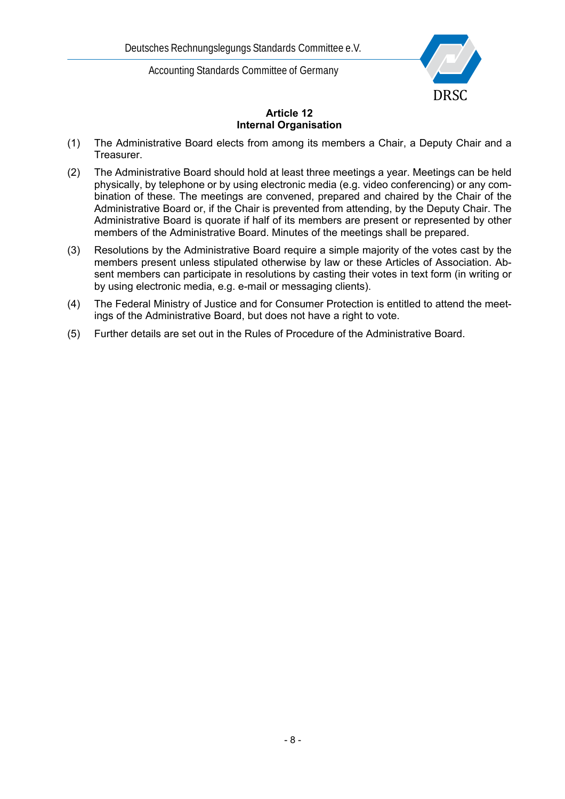

# **Article 12 Internal Organisation**

- (1) The Administrative Board elects from among its members a Chair, a Deputy Chair and a Treasurer.
- (2) The Administrative Board should hold at least three meetings a year. Meetings can be held physically, by telephone or by using electronic media (e.g. video conferencing) or any combination of these. The meetings are convened, prepared and chaired by the Chair of the Administrative Board or, if the Chair is prevented from attending, by the Deputy Chair. The Administrative Board is quorate if half of its members are present or represented by other members of the Administrative Board. Minutes of the meetings shall be prepared.
- (3) Resolutions by the Administrative Board require a simple majority of the votes cast by the members present unless stipulated otherwise by law or these Articles of Association. Absent members can participate in resolutions by casting their votes in text form (in writing or by using electronic media, e.g. e-mail or messaging clients).
- (4) The Federal Ministry of Justice and for Consumer Protection is entitled to attend the meetings of the Administrative Board, but does not have a right to vote.
- (5) Further details are set out in the Rules of Procedure of the Administrative Board.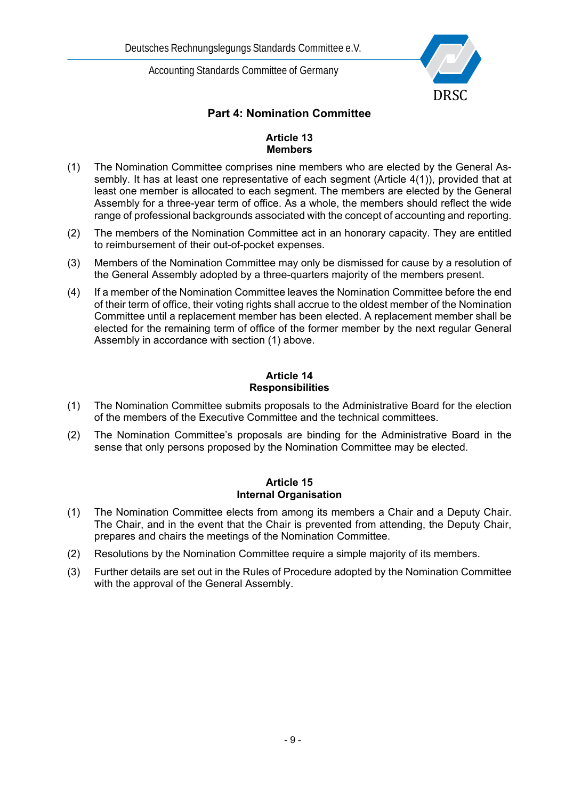

# **Part 4: Nomination Committee**

### **Article 13 Members**

- (1) The Nomination Committee comprises nine members who are elected by the General Assembly. It has at least one representative of each segment (Article 4(1)), provided that at least one member is allocated to each segment. The members are elected by the General Assembly for a three-year term of office. As a whole, the members should reflect the wide range of professional backgrounds associated with the concept of accounting and reporting.
- (2) The members of the Nomination Committee act in an honorary capacity. They are entitled to reimbursement of their out-of-pocket expenses.
- (3) Members of the Nomination Committee may only be dismissed for cause by a resolution of the General Assembly adopted by a three-quarters majority of the members present.
- (4) If a member of the Nomination Committee leaves the Nomination Committee before the end of their term of office, their voting rights shall accrue to the oldest member of the Nomination Committee until a replacement member has been elected. A replacement member shall be elected for the remaining term of office of the former member by the next regular General Assembly in accordance with section (1) above.

### **Article 14 Responsibilities**

- (1) The Nomination Committee submits proposals to the Administrative Board for the election of the members of the Executive Committee and the technical committees.
- (2) The Nomination Committee's proposals are binding for the Administrative Board in the sense that only persons proposed by the Nomination Committee may be elected.

### **Article 15 Internal Organisation**

- (1) The Nomination Committee elects from among its members a Chair and a Deputy Chair. The Chair, and in the event that the Chair is prevented from attending, the Deputy Chair, prepares and chairs the meetings of the Nomination Committee.
- (2) Resolutions by the Nomination Committee require a simple majority of its members.
- (3) Further details are set out in the Rules of Procedure adopted by the Nomination Committee with the approval of the General Assembly.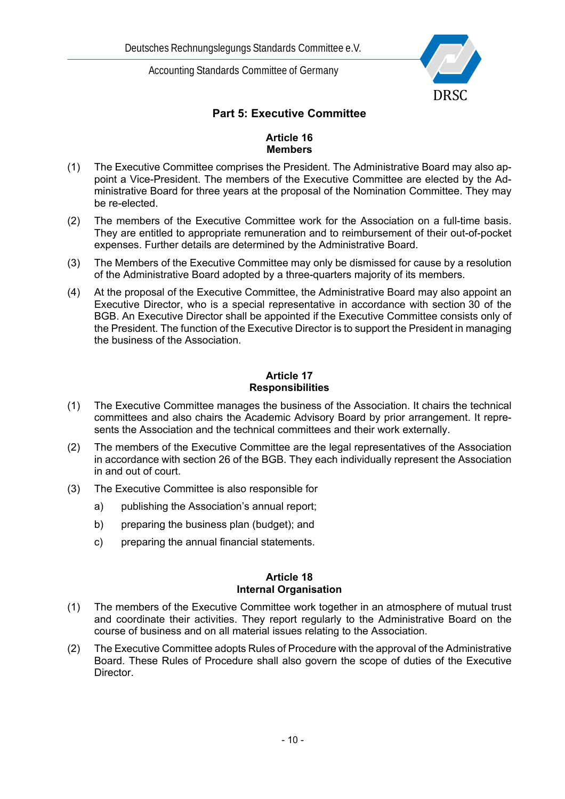

# **Part 5: Executive Committee**

### **Article 16 Members**

- (1) The Executive Committee comprises the President. The Administrative Board may also appoint a Vice-President. The members of the Executive Committee are elected by the Administrative Board for three years at the proposal of the Nomination Committee. They may be re-elected.
- (2) The members of the Executive Committee work for the Association on a full-time basis. They are entitled to appropriate remuneration and to reimbursement of their out-of-pocket expenses. Further details are determined by the Administrative Board.
- (3) The Members of the Executive Committee may only be dismissed for cause by a resolution of the Administrative Board adopted by a three-quarters majority of its members.
- (4) At the proposal of the Executive Committee, the Administrative Board may also appoint an Executive Director, who is a special representative in accordance with section 30 of the BGB. An Executive Director shall be appointed if the Executive Committee consists only of the President. The function of the Executive Director is to support the President in managing the business of the Association.

### **Article 17 Responsibilities**

- (1) The Executive Committee manages the business of the Association. It chairs the technical committees and also chairs the Academic Advisory Board by prior arrangement. It represents the Association and the technical committees and their work externally.
- (2) The members of the Executive Committee are the legal representatives of the Association in accordance with section 26 of the BGB. They each individually represent the Association in and out of court.
- (3) The Executive Committee is also responsible for
	- a) publishing the Association's annual report;
	- b) preparing the business plan (budget); and
	- c) preparing the annual financial statements.

#### **Article 18 Internal Organisation**

- (1) The members of the Executive Committee work together in an atmosphere of mutual trust and coordinate their activities. They report regularly to the Administrative Board on the course of business and on all material issues relating to the Association.
- (2) The Executive Committee adopts Rules of Procedure with the approval of the Administrative Board. These Rules of Procedure shall also govern the scope of duties of the Executive **Director**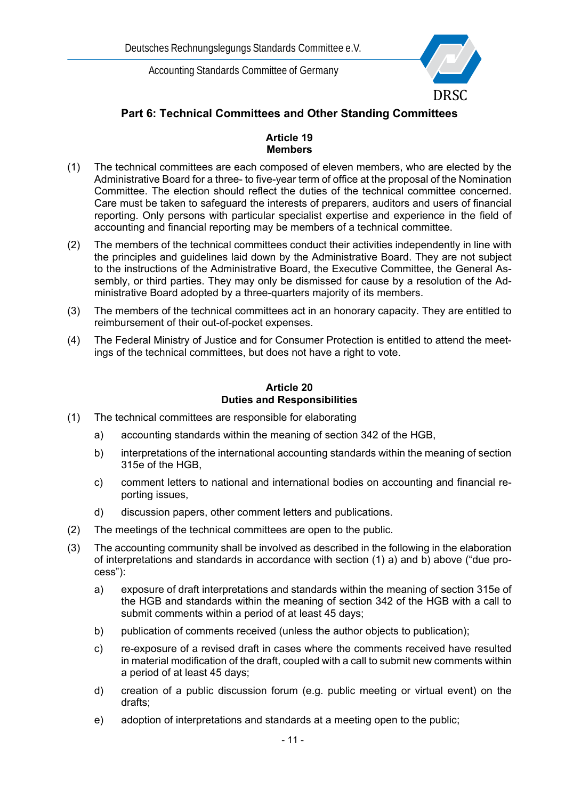

# **Part 6: Technical Committees and Other Standing Committees**

### **Article 19 Members**

- (1) The technical committees are each composed of eleven members, who are elected by the Administrative Board for a three- to five-year term of office at the proposal of the Nomination Committee. The election should reflect the duties of the technical committee concerned. Care must be taken to safeguard the interests of preparers, auditors and users of financial reporting. Only persons with particular specialist expertise and experience in the field of accounting and financial reporting may be members of a technical committee.
- (2) The members of the technical committees conduct their activities independently in line with the principles and guidelines laid down by the Administrative Board. They are not subject to the instructions of the Administrative Board, the Executive Committee, the General Assembly, or third parties. They may only be dismissed for cause by a resolution of the Administrative Board adopted by a three-quarters majority of its members.
- (3) The members of the technical committees act in an honorary capacity. They are entitled to reimbursement of their out-of-pocket expenses.
- (4) The Federal Ministry of Justice and for Consumer Protection is entitled to attend the meetings of the technical committees, but does not have a right to vote.

### **Article 20 Duties and Responsibilities**

- (1) The technical committees are responsible for elaborating
	- a) accounting standards within the meaning of section 342 of the HGB,
	- b) interpretations of the international accounting standards within the meaning of section 315e of the HGB,
	- c) comment letters to national and international bodies on accounting and financial reporting issues,
	- d) discussion papers, other comment letters and publications.
- (2) The meetings of the technical committees are open to the public.
- (3) The accounting community shall be involved as described in the following in the elaboration of interpretations and standards in accordance with section (1) a) and b) above ("due process"):
	- a) exposure of draft interpretations and standards within the meaning of section 315e of the HGB and standards within the meaning of section 342 of the HGB with a call to submit comments within a period of at least 45 days;
	- b) publication of comments received (unless the author objects to publication);
	- c) re-exposure of a revised draft in cases where the comments received have resulted in material modification of the draft, coupled with a call to submit new comments within a period of at least 45 days;
	- d) creation of a public discussion forum (e.g. public meeting or virtual event) on the drafts;
	- e) adoption of interpretations and standards at a meeting open to the public;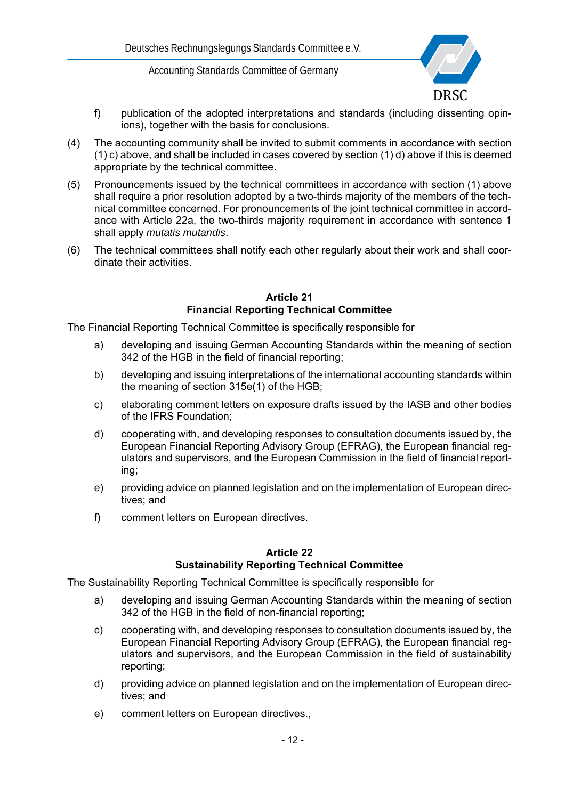

- f) publication of the adopted interpretations and standards (including dissenting opinions), together with the basis for conclusions.
- (4) The accounting community shall be invited to submit comments in accordance with section (1) c) above, and shall be included in cases covered by section (1) d) above if this is deemed appropriate by the technical committee.
- (5) Pronouncements issued by the technical committees in accordance with section (1) above shall require a prior resolution adopted by a two-thirds majority of the members of the technical committee concerned. For pronouncements of the joint technical committee in accordance with Article 22a, the two-thirds majority requirement in accordance with sentence 1 shall apply *mutatis mutandis*.
- (6) The technical committees shall notify each other regularly about their work and shall coordinate their activities.

#### **Article 21 Financial Reporting Technical Committee**

The Financial Reporting Technical Committee is specifically responsible for

- a) developing and issuing German Accounting Standards within the meaning of section 342 of the HGB in the field of financial reporting;
- b) developing and issuing interpretations of the international accounting standards within the meaning of section 315e(1) of the HGB;
- c) elaborating comment letters on exposure drafts issued by the IASB and other bodies of the IFRS Foundation;
- d) cooperating with, and developing responses to consultation documents issued by, the European Financial Reporting Advisory Group (EFRAG), the European financial regulators and supervisors, and the European Commission in the field of financial reporting;
- e) providing advice on planned legislation and on the implementation of European directives; and
- f) comment letters on European directives.

#### **Article 22 Sustainability Reporting Technical Committee**

The Sustainability Reporting Technical Committee is specifically responsible for

- a) developing and issuing German Accounting Standards within the meaning of section 342 of the HGB in the field of non-financial reporting;
- c) cooperating with, and developing responses to consultation documents issued by, the European Financial Reporting Advisory Group (EFRAG), the European financial regulators and supervisors, and the European Commission in the field of sustainability reporting;
- d) providing advice on planned legislation and on the implementation of European directives; and
- e) comment letters on European directives.,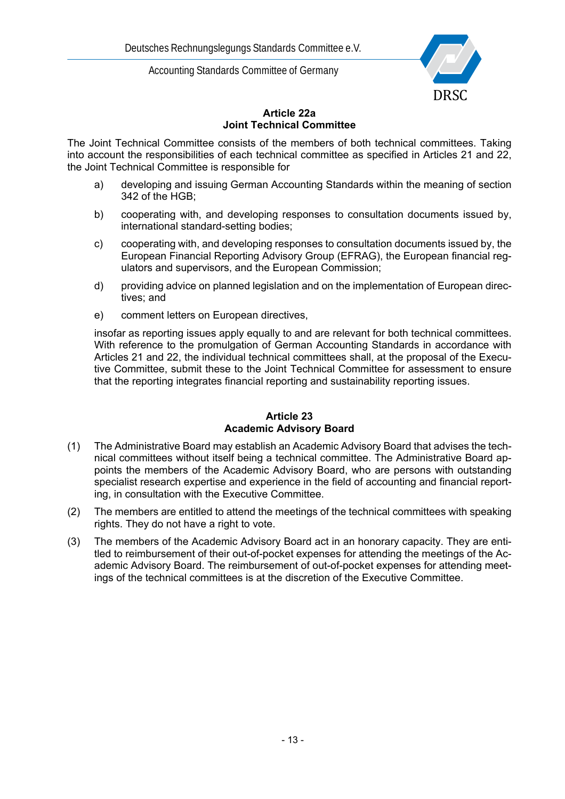

### **Article 22a Joint Technical Committee**

The Joint Technical Committee consists of the members of both technical committees. Taking into account the responsibilities of each technical committee as specified in Articles 21 and 22, the Joint Technical Committee is responsible for

- a) developing and issuing German Accounting Standards within the meaning of section 342 of the HGB;
- b) cooperating with, and developing responses to consultation documents issued by, international standard-setting bodies;
- c) cooperating with, and developing responses to consultation documents issued by, the European Financial Reporting Advisory Group (EFRAG), the European financial regulators and supervisors, and the European Commission;
- d) providing advice on planned legislation and on the implementation of European directives; and
- e) comment letters on European directives,

insofar as reporting issues apply equally to and are relevant for both technical committees. With reference to the promulgation of German Accounting Standards in accordance with Articles 21 and 22, the individual technical committees shall, at the proposal of the Executive Committee, submit these to the Joint Technical Committee for assessment to ensure that the reporting integrates financial reporting and sustainability reporting issues.

### **Article 23 Academic Advisory Board**

- (1) The Administrative Board may establish an Academic Advisory Board that advises the technical committees without itself being a technical committee. The Administrative Board appoints the members of the Academic Advisory Board, who are persons with outstanding specialist research expertise and experience in the field of accounting and financial reporting, in consultation with the Executive Committee.
- (2) The members are entitled to attend the meetings of the technical committees with speaking rights. They do not have a right to vote.
- (3) The members of the Academic Advisory Board act in an honorary capacity. They are entitled to reimbursement of their out-of-pocket expenses for attending the meetings of the Academic Advisory Board. The reimbursement of out-of-pocket expenses for attending meetings of the technical committees is at the discretion of the Executive Committee.